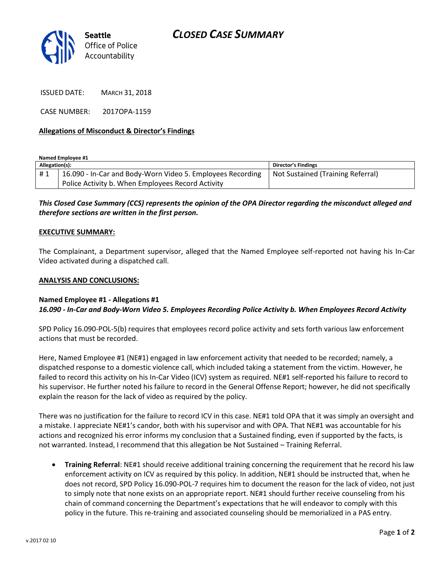

ISSUED DATE: MARCH 31, 2018

CASE NUMBER: 2017OPA-1159

## **Allegations of Misconduct & Director's Findings**

**Named Employee #1**

| Allegation(s): |                                                            | Director's Findings               |
|----------------|------------------------------------------------------------|-----------------------------------|
| #1             | 16.090 - In-Car and Body-Worn Video 5. Employees Recording | Not Sustained (Training Referral) |
|                | Police Activity b. When Employees Record Activity          |                                   |

*This Closed Case Summary (CCS) represents the opinion of the OPA Director regarding the misconduct alleged and therefore sections are written in the first person.* 

#### **EXECUTIVE SUMMARY:**

The Complainant, a Department supervisor, alleged that the Named Employee self-reported not having his In-Car Video activated during a dispatched call.

#### **ANALYSIS AND CONCLUSIONS:**

### **Named Employee #1 - Allegations #1** *16.090 - In-Car and Body-Worn Video 5. Employees Recording Police Activity b. When Employees Record Activity*

SPD Policy 16.090-POL-5(b) requires that employees record police activity and sets forth various law enforcement actions that must be recorded.

Here, Named Employee #1 (NE#1) engaged in law enforcement activity that needed to be recorded; namely, a dispatched response to a domestic violence call, which included taking a statement from the victim. However, he failed to record this activity on his In-Car Video (ICV) system as required. NE#1 self-reported his failure to record to his supervisor. He further noted his failure to record in the General Offense Report; however, he did not specifically explain the reason for the lack of video as required by the policy.

There was no justification for the failure to record ICV in this case. NE#1 told OPA that it was simply an oversight and a mistake. I appreciate NE#1's candor, both with his supervisor and with OPA. That NE#1 was accountable for his actions and recognized his error informs my conclusion that a Sustained finding, even if supported by the facts, is not warranted. Instead, I recommend that this allegation be Not Sustained – Training Referral.

• **Training Referral**: NE#1 should receive additional training concerning the requirement that he record his law enforcement activity on ICV as required by this policy. In addition, NE#1 should be instructed that, when he does not record, SPD Policy 16.090-POL-7 requires him to document the reason for the lack of video, not just to simply note that none exists on an appropriate report. NE#1 should further receive counseling from his chain of command concerning the Department's expectations that he will endeavor to comply with this policy in the future. This re-training and associated counseling should be memorialized in a PAS entry.